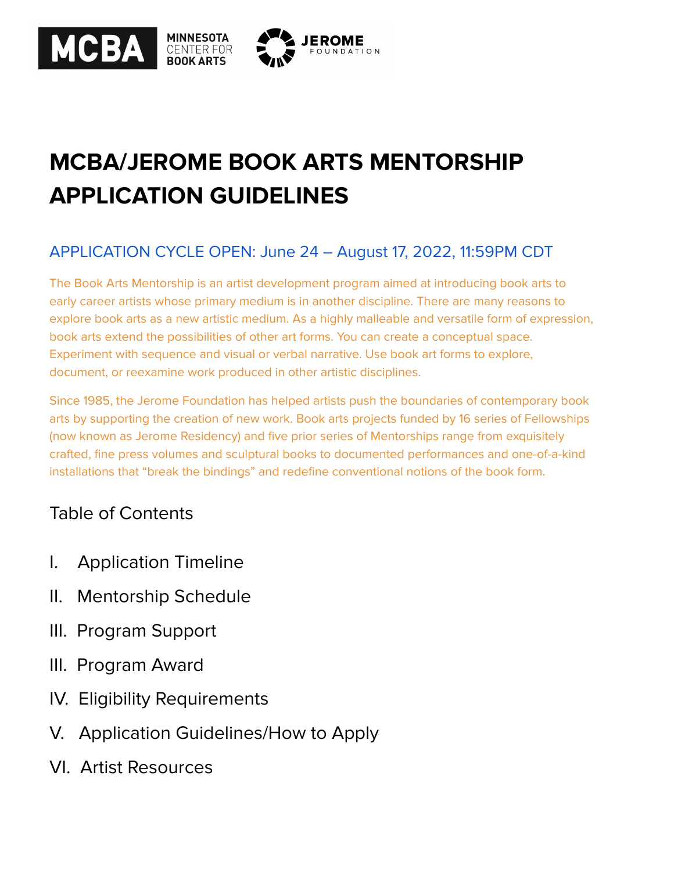

# **MCBA/JEROME BOOK ARTS MENTORSHIP APPLICATION GUIDELINES**

# APPLICATION CYCLE OPEN: June 24 – August 17, 2022, 11:59PM CDT

The Book Arts Mentorship is an artist development program aimed at introducing book arts to early career artists whose primary medium is in another discipline. There are many reasons to explore book arts as a new artistic medium. As a highly malleable and versatile form of expression, book arts extend the possibilities of other art forms. You can create a conceptual space. Experiment with sequence and visual or verbal narrative. Use book art forms to explore, document, or reexamine work produced in other artistic disciplines.

Since 1985, the Jerome Foundation has helped artists push the boundaries of contemporary book arts by supporting the creation of new work. Book arts projects funded by 16 series of Fellowships (now known as Jerome Residency) and five prior series of Mentorships range from exquisitely crafted, fine press volumes and sculptural books to documented performances and one-of-a-kind installations that "break the bindings" and redefine conventional notions of the book form.

# Table of Contents

- I. Application Timeline
- II. Mentorship Schedule
- III. Program Support
- III. Program Award
- IV. Eligibility Requirements
- V. Application Guidelines/How to Apply
- VI. Artist Resources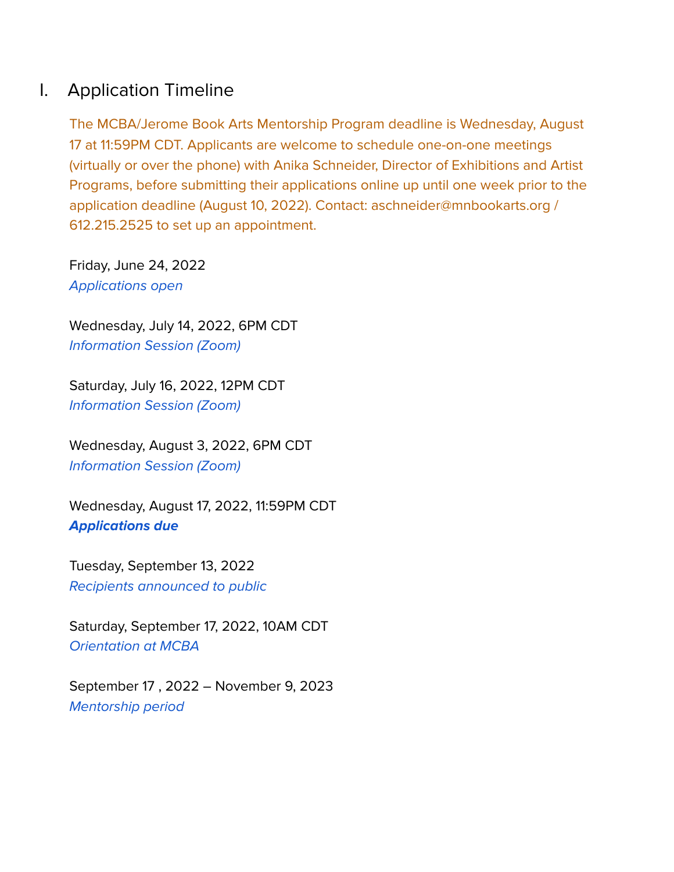# I. Application Timeline

The MCBA/Jerome Book Arts Mentorship Program deadline is Wednesday, August 17 at 11:59PM CDT. Applicants are welcome to schedule one-on-one meetings (virtually or over the phone) with Anika Schneider, Director of Exhibitions and Artist Programs, before submitting their applications online up until one week prior to the application deadline (August 10, 2022). Contact: aschneider@mnbookarts.org / 612.215.2525 to set up an appointment.

Friday, June 24, 2022 Applications open

Wednesday, July 14, 2022, 6PM CDT Information Session (Zoom)

Saturday, July 16, 2022, 12PM CDT Information Session (Zoom)

Wednesday, August 3, 2022, 6PM CDT Information Session (Zoom)

Wednesday, August 17, 2022, 11:59PM CDT **Applications due**

Tuesday, September 13, 2022 Recipients announced to public

Saturday, September 17, 2022, 10AM CDT Orientation at MCBA

September 17 , 2022 – November 9, 2023 Mentorship period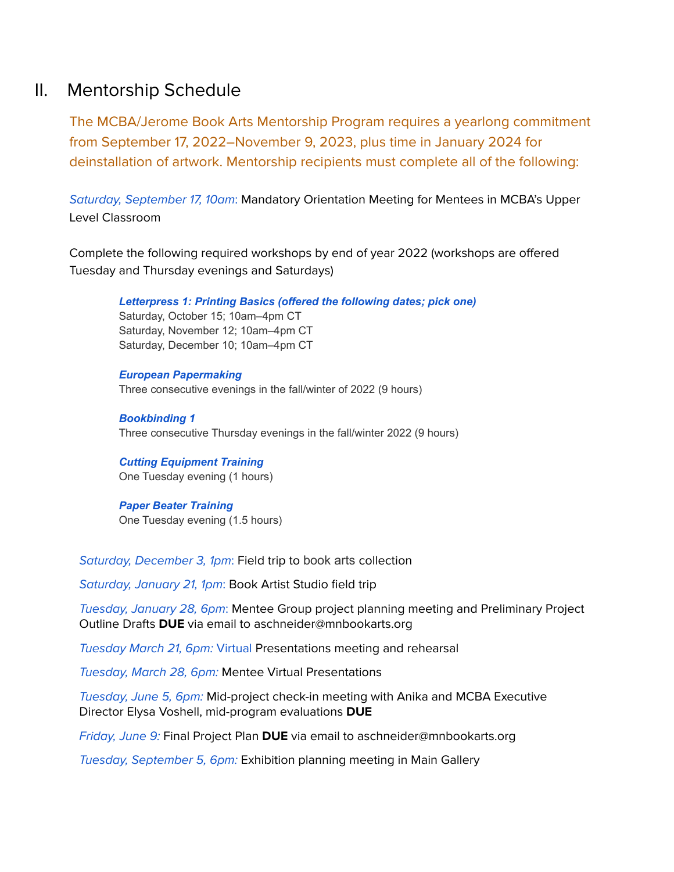# II. Mentorship Schedule

The MCBA/Jerome Book Arts Mentorship Program requires a yearlong commitment from September 17, 2022–November 9, 2023, plus time in January 2024 for deinstallation of artwork. Mentorship recipients must complete all of the following:

Saturday, September 17, 10am: Mandatory Orientation Meeting for Mentees in MCBA's Upper Level Classroom

Complete the following required workshops by end of year 2022 (workshops are offered Tuesday and Thursday evenings and Saturdays)

*Letterpress 1: Printing Basics (offered the following dates; pick one)* Saturday, October 15; 10am–4pm CT Saturday, November 12; 10am–4pm CT Saturday, December 10; 10am–4pm CT

*European Papermaking* Three consecutive evenings in the fall/winter of 2022 (9 hours)

*Bookbinding 1* Three consecutive Thursday evenings in the fall/winter 2022 (9 hours)

*Cutting Equipment Training* One Tuesday evening (1 hours)

*Paper Beater Training* One Tuesday evening (1.5 hours)

Saturday, December 3, 1pm: Field trip to book arts collection

Saturday, January 21, 1pm: Book Artist Studio field trip

Tuesday, January 28, 6pm: Mentee Group project planning meeting and Preliminary Project Outline Drafts **DUE** via email to aschneider@mnbookarts.org

Tuesday March 21, 6pm: Virtual Presentations meeting and rehearsal

Tuesday, March 28, 6pm: Mentee Virtual Presentations

Tuesday, June 5, 6pm: Mid-project check-in meeting with Anika and MCBA Executive Director Elysa Voshell, mid-program evaluations **DUE**

Friday, June 9: Final Project Plan **DUE** via email to aschneider@mnbookarts.org

Tuesday, September 5, 6pm: Exhibition planning meeting in Main Gallery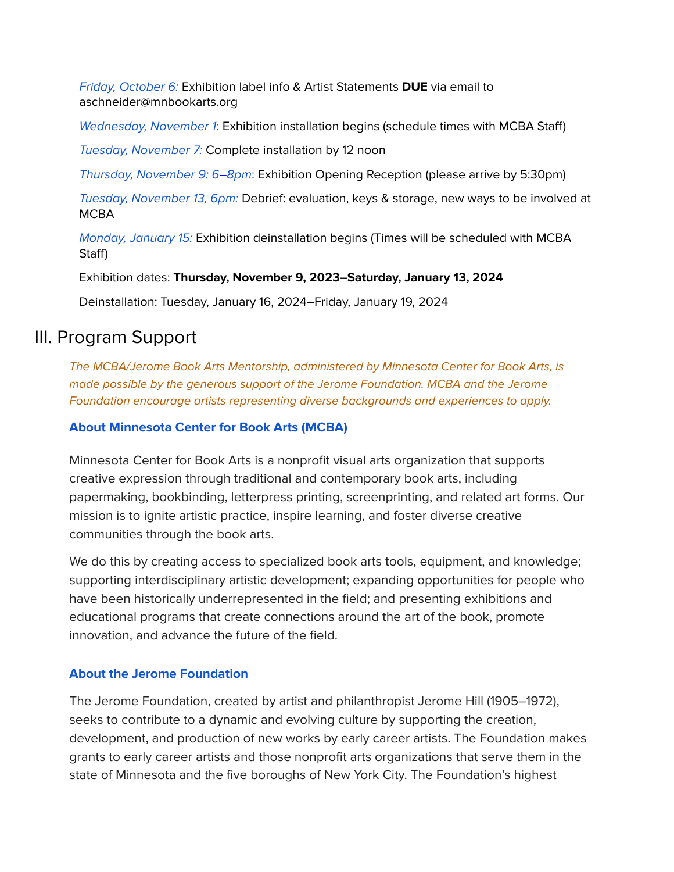Friday, October 6: Exhibition label info & Artist Statements **DUE** via email to aschneider@mnbookarts.org

Wednesday, November 1: Exhibition installation begins (schedule times with MCBA Staff)

Tuesday, November 7: Complete installation by 12 noon

Thursday, November 9: 6–8pm: Exhibition Opening Reception (please arrive by 5:30pm)

Tuesday, November 13, 6pm: Debrief: evaluation, keys & storage, new ways to be involved at **MCBA** 

Monday, January 15: Exhibition deinstallation begins (Times will be scheduled with MCBA Staff)

Exhibition dates: **Thursday, November 9, 2023–Saturday, January 13, 2024**

Deinstallation: Tuesday, January 16, 2024–Friday, January 19, 2024

# III. Program Support

The MCBA/Jerome Book Arts Mentorship, administered by Minnesota Center for Book Arts, is made possible by the generous support of the Jerome Foundation. MCBA and the Jerome Foundation encourage artists representing diverse backgrounds and experiences to apply.

### **About Minnesota Center for Book Arts (MCBA)**

Minnesota Center for Book Arts is a nonprofit visual arts organization that supports creative expression through traditional and contemporary book arts, including papermaking, bookbinding, letterpress printing, screenprinting, and related art forms. Our mission is to ignite artistic practice, inspire learning, and foster diverse creative communities through the book arts.

We do this by creating access to specialized book arts tools, equipment, and knowledge; supporting interdisciplinary artistic development; expanding opportunities for people who have been historically underrepresented in the field; and presenting exhibitions and educational programs that create connections around the art of the book, promote innovation, and advance the future of the field.

### **About the Jerome Foundation**

The Jerome Foundation, created by artist and philanthropist [Jerome](https://www.jeromefdn.org/our-founder) Hill (1905–1972), seeks to contribute to a dynamic and evolving culture by supporting the creation, development, and production of new works by early career artists. The Foundation makes grants to early career artists and those nonprofit arts organizations that serve them in the state of Minnesota and the five boroughs of New York City. The Foundation's highest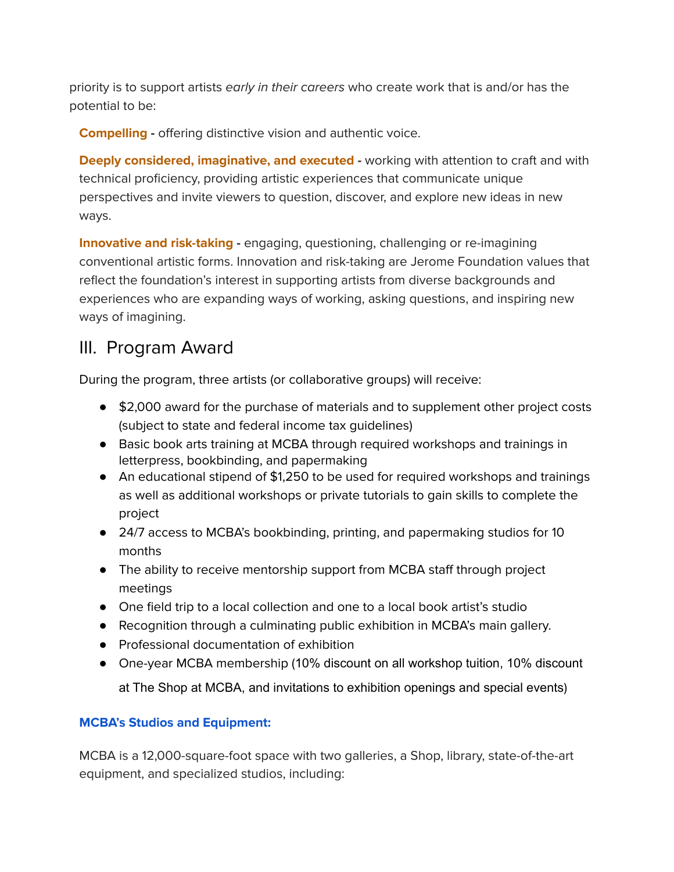priority is to support artists early in their careers who create work that is and/or has the potential to be:

**Compelling -** offering distinctive vision and authentic voice.

**Deeply considered, imaginative, and executed -** working with attention to craft and with technical proficiency, providing artistic experiences that communicate unique perspectives and invite viewers to question, discover, and explore new ideas in new ways.

**Innovative and risk-taking -** engaging, questioning, challenging or re-imagining conventional artistic forms. Innovation and risk-taking are Jerome Foundation values that reflect the foundation's interest in supporting artists from diverse backgrounds and experiences who are expanding ways of working, asking questions, and inspiring new ways of imagining.

# III. Program Award

During the program, three artists (or collaborative groups) will receive:

- \$2,000 award for the purchase of materials and to supplement other project costs (subject to state and federal income tax guidelines)
- Basic book arts training at MCBA through required workshops and trainings in letterpress, bookbinding, and papermaking
- An educational stipend of \$1,250 to be used for required workshops and trainings as well as additional workshops or private tutorials to gain skills to complete the project
- 24/7 access to MCBA's bookbinding, printing, and papermaking studios for 10 months
- The ability to receive mentorship support from MCBA staff through project meetings
- One field trip to a local collection and one to a local book artist's studio
- Recognition through a culminating public exhibition in MCBA's main gallery.
- Professional documentation of exhibition
- One-year MCBA membership (10% discount on all workshop tuition, 10% discount at The Shop at MCBA, and invitations to exhibition openings and special events)

# **MCBA's Studios and Equipment:**

MCBA is a 12,000-square-foot space with two galleries, a Shop, library, state-of-the-art equipment, and specialized studios, including: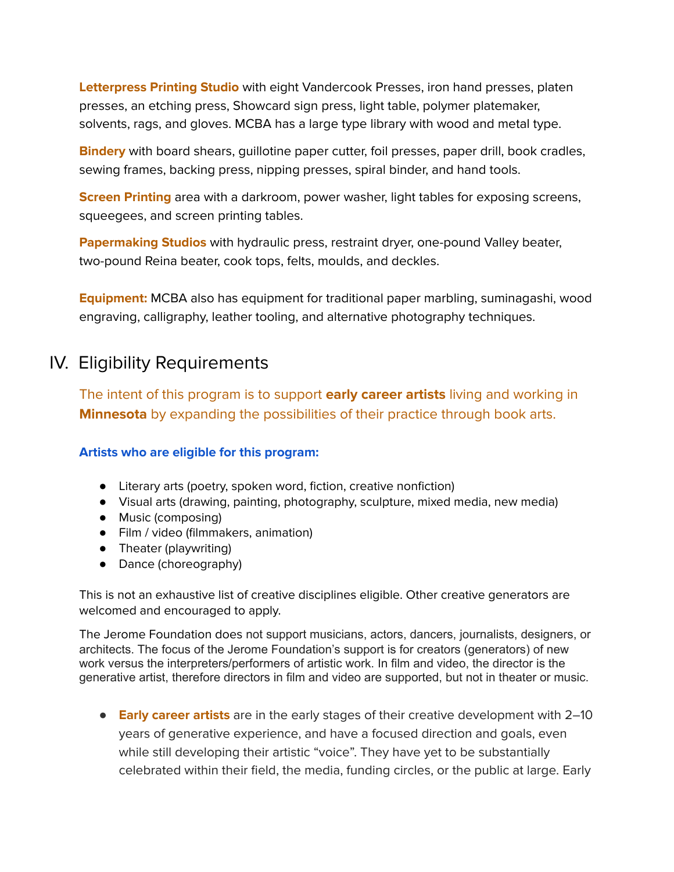**Letterpress Printing Studio** with eight Vandercook Presses, iron hand presses, platen presses, an etching press, Showcard sign press, light table, polymer platemaker, solvents, rags, and gloves. MCBA has a large type library with wood and metal type.

**Bindery** with board shears, guillotine paper cutter, foil presses, paper drill, book cradles, sewing frames, backing press, nipping presses, spiral binder, and hand tools.

**Screen Printing** area with a darkroom, power washer, light tables for exposing screens, squeegees, and screen printing tables.

**Papermaking Studios** with hydraulic press, restraint dryer, one-pound Valley beater, two-pound Reina beater, cook tops, felts, moulds, and deckles.

**Equipment:** MCBA also has equipment for traditional paper marbling, suminagashi, wood engraving, calligraphy, leather tooling, and alternative photography techniques.

# IV. Eligibility Requirements

The intent of this program is to support **early career artists** living and working in **Minnesota** by expanding the possibilities of their practice through book arts.

## **Artists who are eligible for this program:**

- Literary arts (poetry, spoken word, fiction, creative nonfiction)
- Visual arts (drawing, painting, photography, sculpture, mixed media, new media)
- Music (composing)
- Film / video (filmmakers, animation)
- Theater (playwriting)
- Dance (choreography)

This is not an exhaustive list of creative disciplines eligible. Other creative generators are welcomed and encouraged to apply.

The Jerome Foundation does not support musicians, actors, dancers, journalists, designers, or architects. The focus of the Jerome Foundation's support is for creators (generators) of new work versus the interpreters/performers of artistic work. In film and video, the director is the generative artist, therefore directors in film and video are supported, but not in theater or music.

● **Early career artists** are in the early stages of their creative development with 2–10 years of generative experience, and have a focused direction and goals, even while still developing their artistic "voice". They have yet to be substantially celebrated within their field, the media, funding circles, or the public at large. Early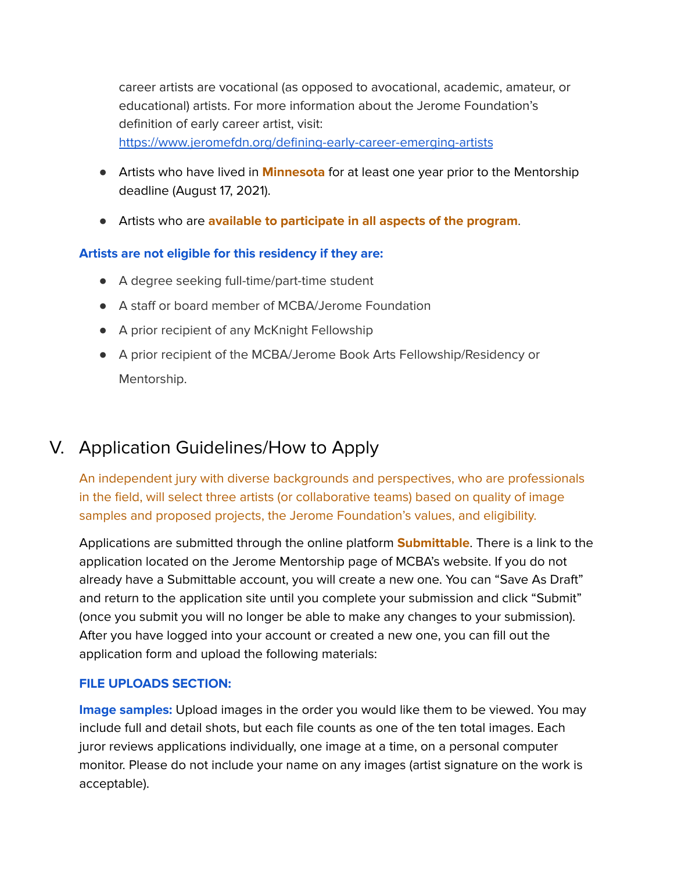career artists are vocational (as opposed to avocational, academic, amateur, or educational) artists. For more information about the Jerome Foundation's definition of early career artist, visit: <https://www.jeromefdn.org/defining-early-career-emerging-artists>

- Artists who have lived in **Minnesota** for at least one year prior to the Mentorship deadline (August 17, 2021).
- Artists who are **available to participate in all aspects of the program**.

### **Artists are not eligible for this residency if they are:**

- A degree seeking full-time/part-time student
- A staff or board member of MCBA/Jerome Foundation
- A prior recipient of any McKnight Fellowship
- A prior recipient of the MCBA/Jerome Book Arts Fellowship/Residency or Mentorship.

# V. Application Guidelines/How to Apply

An independent jury with diverse backgrounds and perspectives, who are professionals in the field, will select three artists (or collaborative teams) based on quality of image samples and proposed projects, the Jerome Foundation's values, and eligibility.

Applications are submitted through the online platform **Submittable**. There is a link to the application located on the Jerome Mentorship page of MCBA's website. If you do not already have a Submittable account, you will create a new one. You can "Save As Draft" and return to the application site until you complete your submission and click "Submit" (once you submit you will no longer be able to make any changes to your submission). After you have logged into your account or created a new one, you can fill out the application form and upload the following materials:

### **FILE UPLOADS SECTION:**

**Image samples:** Upload images in the order you would like them to be viewed. You may include full and detail shots, but each file counts as one of the ten total images. Each juror reviews applications individually, one image at a time, on a personal computer monitor. Please do not include your name on any images (artist signature on the work is acceptable).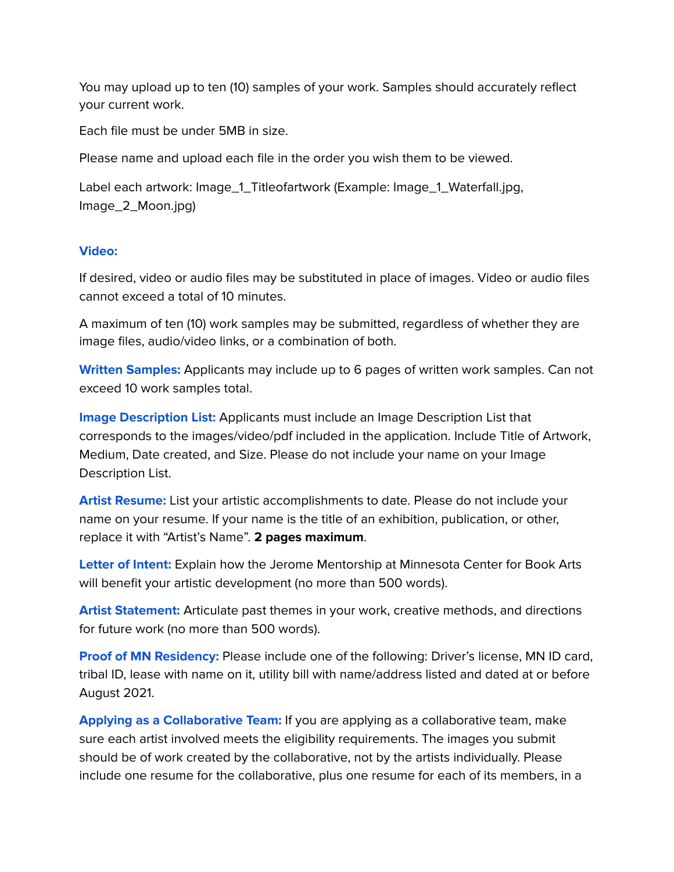You may upload up to ten (10) samples of your work. Samples should accurately reflect your current work.

Each file must be under 5MB in size.

Please name and upload each file in the order you wish them to be viewed.

Label each artwork: Image\_1\_Titleofartwork (Example: Image\_1\_Waterfall.jpg, Image\_2\_Moon.jpg)

### **Video:**

If desired, video or audio files may be substituted in place of images. Video or audio files cannot exceed a total of 10 minutes.

A maximum of ten (10) work samples may be submitted, regardless of whether they are image files, audio/video links, or a combination of both.

**Written Samples:** Applicants may include up to 6 pages of written work samples. Can not exceed 10 work samples total.

**Image Description List:** Applicants must include an Image Description List that corresponds to the images/video/pdf included in the application. Include Title of Artwork, Medium, Date created, and Size. Please do not include your name on your Image Description List.

**Artist Resume:** List your artistic accomplishments to date. Please do not include your name on your resume. If your name is the title of an exhibition, publication, or other, replace it with "Artist's Name". **2 pages maximum**.

**Letter of Intent:** Explain how the Jerome Mentorship at Minnesota Center for Book Arts will benefit your artistic development (no more than 500 words).

**Artist Statement:** Articulate past themes in your work, creative methods, and directions for future work (no more than 500 words).

**Proof of MN Residency:** Please include one of the following: Driver's license, MN ID card, tribal ID, lease with name on it, utility bill with name/address listed and dated at or before August 2021.

**Applying as a Collaborative Team:** If you are applying as a collaborative team, make sure each artist involved meets the eligibility requirements. The images you submit should be of work created by the collaborative, not by the artists individually. Please include one resume for the collaborative, plus one resume for each of its members, in a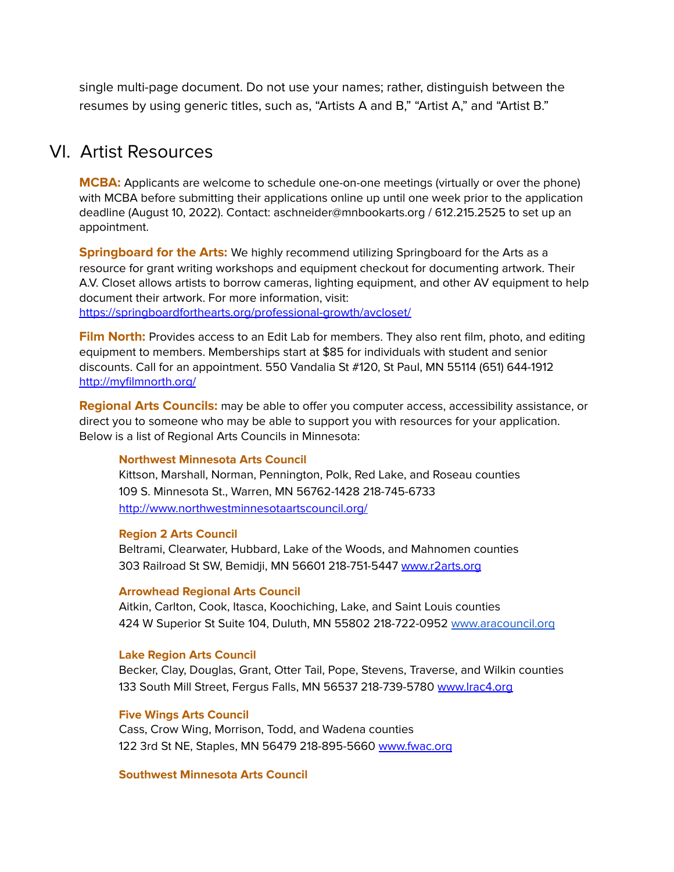single multi-page document. Do not use your names; rather, distinguish between the resumes by using generic titles, such as, "Artists A and B," "Artist A," and "Artist B."

# VI. Artist Resources

**MCBA:** Applicants are welcome to schedule one-on-one meetings (virtually or over the phone) with MCBA before submitting their applications online up until one week prior to the application deadline (August 10, 2022). Contact: aschneider@mnbookarts.org / 612.215.2525 to set up an appointment.

**Springboard for the Arts:** We highly recommend utilizing Springboard for the Arts as a resource for grant writing workshops and equipment checkout for documenting artwork. Their A.V. Closet allows artists to borrow cameras, lighting equipment, and other AV equipment to help document their artwork. For more information, visit: <https://springboardforthearts.org/professional-growth/avcloset/>

**Film North:** Provides access to an Edit Lab for members. They also rent film, photo, and editing equipment to members. Memberships start at \$85 for individuals with student and senior discounts. Call for an appointment. 550 Vandalia St #120, St Paul, MN 55114 (651) 644-1912 <http://myfilmnorth.org/>

**Regional Arts Councils:** may be able to offer you computer access, accessibility assistance, or direct you to someone who may be able to support you with resources for your application. Below is a list of Regional Arts Councils in Minnesota:

#### **Northwest Minnesota Arts Council**

Kittson, Marshall, Norman, Pennington, Polk, Red Lake, and Roseau counties 109 S. Minnesota St., Warren, MN 56762-1428 218-745-6733 <http://www.northwestminnesotaartscouncil.org/>

#### **Region 2 Arts Council**

Beltrami, Clearwater, Hubbard, Lake of the Woods, and Mahnomen counties 303 Railroad St SW, Bemidji, MN 56601 218-751-5447 [www.r2arts.org](http://www.r2arts.org)

#### **Arrowhead Regional Arts Council**

Aitkin, Carlton, Cook, Itasca, Koochiching, Lake, and Saint Louis counties 424 W Superior St Suite 104, Duluth, MN 55802 218-722-0952 [www.aracouncil.org](http://www.aracouncil.org)

### **Lake Region Arts Council**

Becker, Clay, Douglas, Grant, Otter Tail, Pope, Stevens, Traverse, and Wilkin counties 133 South Mill Street, Fergus Falls, MN 56537 218-739-5780 [www.lrac4.org](http://www.lrac4.org)

### **Five Wings Arts Council**

Cass, Crow Wing, Morrison, Todd, and Wadena counties 122 3rd St NE, Staples, MN 56479 218-895-5660 [www.fwac.org](http://www.fwac.org)

### **Southwest Minnesota Arts Council**